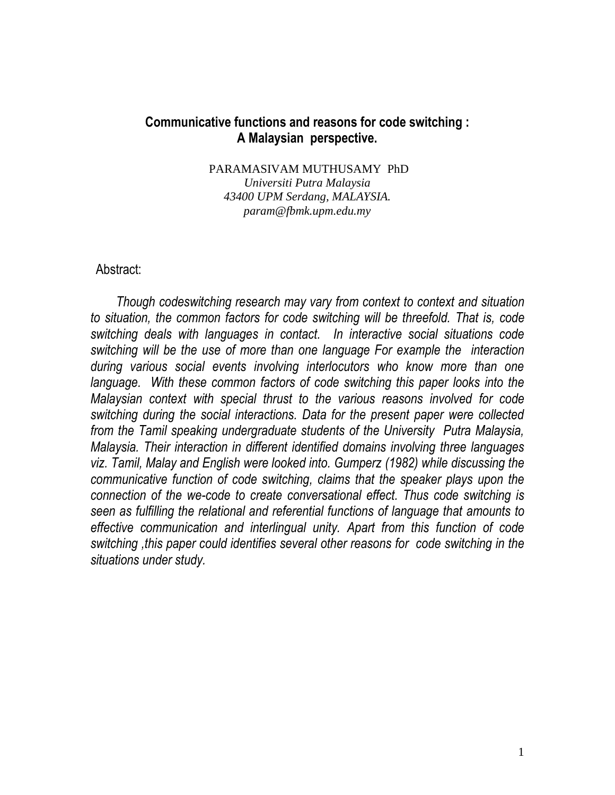# **Communicative functions and reasons for code switching : A Malaysian perspective.**

PARAMASIVAM MUTHUSAMY PhD *Universiti Putra Malaysia 43400 UPM Serdang, MALAYSIA. param@fbmk.upm.edu.my*

## Abstract:

 *Though codeswitching research may vary from context to context and situation to situation, the common factors for code switching will be threefold. That is, code switching deals with languages in contact. In interactive social situations code switching will be the use of more than one language For example the interaction during various social events involving interlocutors who know more than one*  language. With these common factors of code switching this paper looks into the *Malaysian context with special thrust to the various reasons involved for code switching during the social interactions. Data for the present paper were collected from the Tamil speaking undergraduate students of the University Putra Malaysia, Malaysia. Their interaction in different identified domains involving three languages viz. Tamil, Malay and English were looked into. Gumperz (1982) while discussing the communicative function of code switching, claims that the speaker plays upon the connection of the we-code to create conversational effect. Thus code switching is seen as fulfilling the relational and referential functions of language that amounts to effective communication and interlingual unity. Apart from this function of code switching ,this paper could identifies several other reasons for code switching in the situations under study.*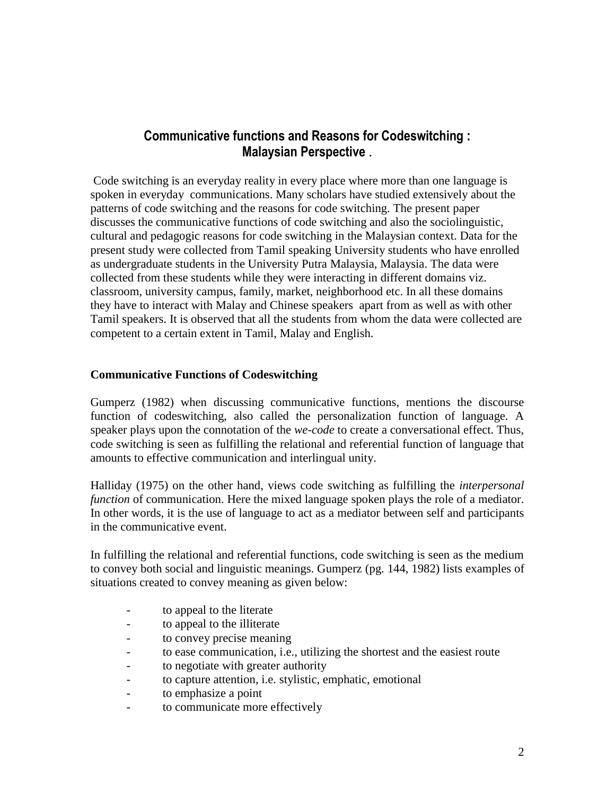# **Communicative functions and Reasons for Codeswitching : Malaysian Perspective** .

Code switching is an everyday reality in every place where more than one language is spoken in everyday communications. Many scholars have studied extensively about the patterns of code switching and the reasons for code switching. The present paper discusses the communicative functions of code switching and also the sociolinguistic, cultural and pedagogic reasons for code switching in the Malaysian context. Data for the present study were collected from Tamil speaking University students who have enrolled as undergraduate students in the University Putra Malaysia, Malaysia. The data were collected from these students while they were interacting in different domains viz. classroom, university campus, family, market, neighborhood etc. In all these domains they have to interact with Malay and Chinese speakers apart from as well as with other Tamil speakers. It is observed that all the students from whom the data were collected are competent to a certain extent in Tamil, Malay and English.

### **Communicative Functions of Codeswitching**

Gumperz (1982) when discussing communicative functions, mentions the discourse function of codeswitching, also called the personalization function of language. A speaker plays upon the connotation of the *we-code* to create a conversational effect. Thus, code switching is seen as fulfilling the relational and referential function of language that amounts to effective communication and interlingual unity.

Halliday (1975) on the other hand, views code switching as fulfilling the *interpersonal function* of communication. Here the mixed language spoken plays the role of a mediator. In other words, it is the use of language to act as a mediator between self and participants in the communicative event.

In fulfilling the relational and referential functions, code switching is seen as the medium to convey both social and linguistic meanings. Gumperz (pg. 144, 1982) lists examples of situations created to convey meaning as given below:

- to appeal to the literate
- to appeal to the illiterate
- to convey precise meaning
- to ease communication, i.e., utilizing the shortest and the easiest route
- to negotiate with greater authority
- to capture attention, i.e. stylistic, emphatic, emotional
- to emphasize a point
- to communicate more effectively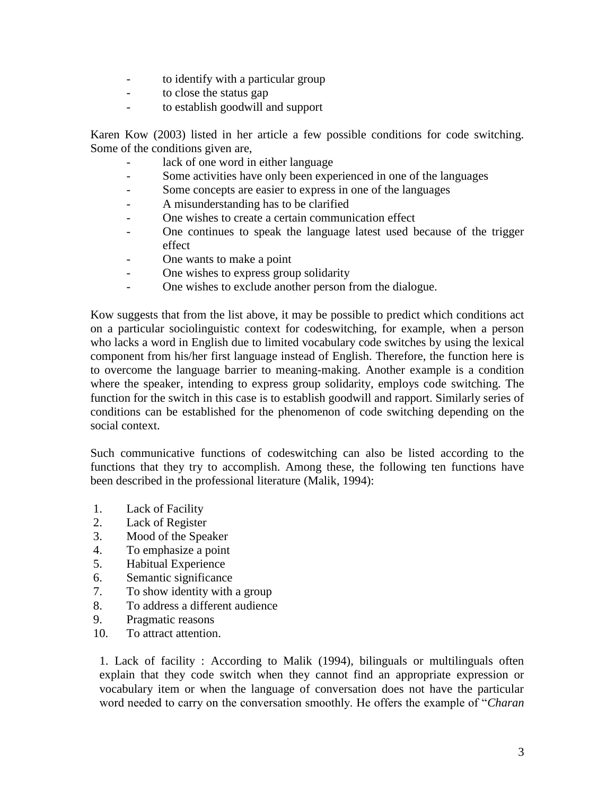- to identify with a particular group
- to close the status gap
- to establish goodwill and support

Karen Kow (2003) listed in her article a few possible conditions for code switching. Some of the conditions given are,

- lack of one word in either language
- Some activities have only been experienced in one of the languages
- Some concepts are easier to express in one of the languages
- A misunderstanding has to be clarified
- One wishes to create a certain communication effect
- One continues to speak the language latest used because of the trigger effect
- One wants to make a point
- One wishes to express group solidarity
- One wishes to exclude another person from the dialogue.

Kow suggests that from the list above, it may be possible to predict which conditions act on a particular sociolinguistic context for codeswitching, for example, when a person who lacks a word in English due to limited vocabulary code switches by using the lexical component from his/her first language instead of English. Therefore, the function here is to overcome the language barrier to meaning-making. Another example is a condition where the speaker, intending to express group solidarity, employs code switching. The function for the switch in this case is to establish goodwill and rapport. Similarly series of conditions can be established for the phenomenon of code switching depending on the social context.

Such communicative functions of codeswitching can also be listed according to the functions that they try to accomplish. Among these, the following ten functions have been described in the professional literature (Malik, 1994):

- 1. Lack of Facility
- 2. Lack of Register
- 3. Mood of the Speaker
- 4. To emphasize a point
- 5. Habitual Experience
- 6. Semantic significance
- 7. To show identity with a group
- 8. To address a different audience
- 9. Pragmatic reasons
- 10. To attract attention.

1. Lack of facility : According to Malik (1994), bilinguals or multilinguals often explain that they code switch when they cannot find an appropriate expression or vocabulary item or when the language of conversation does not have the particular word needed to carry on the conversation smoothly. He offers the example of "*Charan*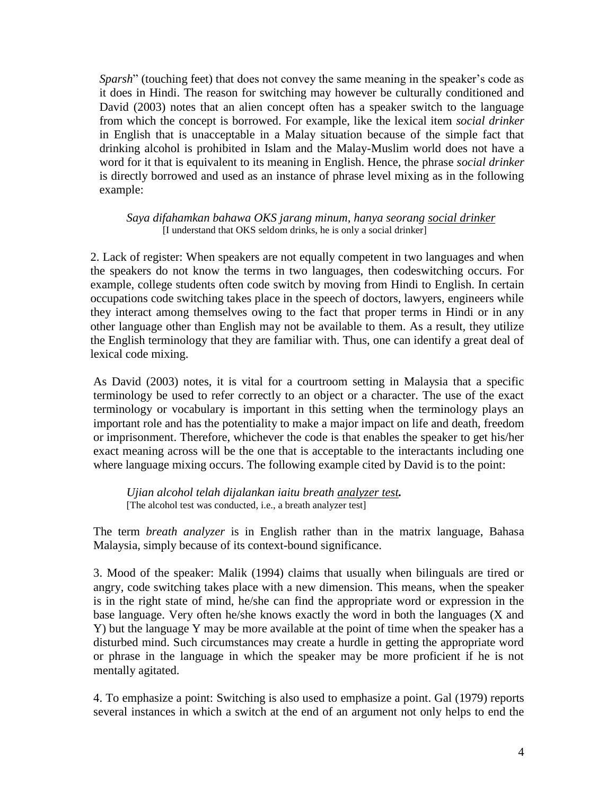*Sparsh*" (touching feet) that does not convey the same meaning in the speaker's code as it does in Hindi. The reason for switching may however be culturally conditioned and David (2003) notes that an alien concept often has a speaker switch to the language from which the concept is borrowed. For example, like the lexical item *social drinker* in English that is unacceptable in a Malay situation because of the simple fact that drinking alcohol is prohibited in Islam and the Malay-Muslim world does not have a word for it that is equivalent to its meaning in English. Hence, the phrase *social drinker* is directly borrowed and used as an instance of phrase level mixing as in the following example:

#### *Saya difahamkan bahawa OKS jarang minum, hanya seorang social drinker* [I understand that OKS seldom drinks, he is only a social drinker]

2. Lack of register: When speakers are not equally competent in two languages and when the speakers do not know the terms in two languages, then codeswitching occurs. For example, college students often code switch by moving from Hindi to English. In certain occupations code switching takes place in the speech of doctors, lawyers, engineers while they interact among themselves owing to the fact that proper terms in Hindi or in any other language other than English may not be available to them. As a result, they utilize the English terminology that they are familiar with. Thus, one can identify a great deal of lexical code mixing.

As David (2003) notes, it is vital for a courtroom setting in Malaysia that a specific terminology be used to refer correctly to an object or a character. The use of the exact terminology or vocabulary is important in this setting when the terminology plays an important role and has the potentiality to make a major impact on life and death, freedom or imprisonment. Therefore, whichever the code is that enables the speaker to get his/her exact meaning across will be the one that is acceptable to the interactants including one where language mixing occurs. The following example cited by David is to the point:

*Ujian alcohol telah dijalankan iaitu breath analyzer test.*  [The alcohol test was conducted, i.e., a breath analyzer test]

The term *breath analyzer* is in English rather than in the matrix language, Bahasa Malaysia, simply because of its context-bound significance.

3. Mood of the speaker: Malik (1994) claims that usually when bilinguals are tired or angry, code switching takes place with a new dimension. This means, when the speaker is in the right state of mind, he/she can find the appropriate word or expression in the base language. Very often he/she knows exactly the word in both the languages (X and Y) but the language Y may be more available at the point of time when the speaker has a disturbed mind. Such circumstances may create a hurdle in getting the appropriate word or phrase in the language in which the speaker may be more proficient if he is not mentally agitated.

4. To emphasize a point: Switching is also used to emphasize a point. Gal (1979) reports several instances in which a switch at the end of an argument not only helps to end the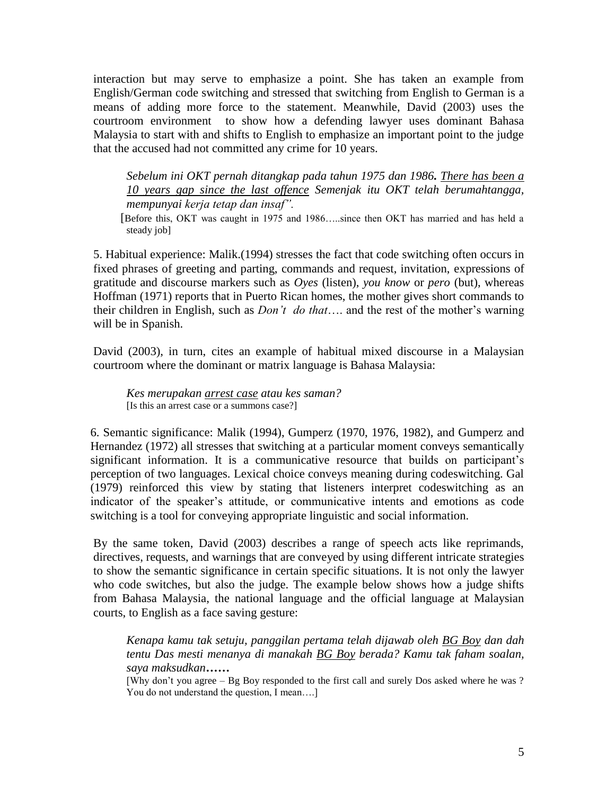interaction but may serve to emphasize a point. She has taken an example from English/German code switching and stressed that switching from English to German is a means of adding more force to the statement. Meanwhile, David (2003) uses the courtroom environment to show how a defending lawyer uses dominant Bahasa Malaysia to start with and shifts to English to emphasize an important point to the judge that the accused had not committed any crime for 10 years.

*Sebelum ini OKT pernah ditangkap pada tahun 1975 dan 1986. There has been a 10 years gap since the last offence Semenjak itu OKT telah berumahtangga, mempunyai kerja tetap dan insaf".* 

**[Before this, OKT was caught in 1975 and 1986....since then OKT has married and has held a** steady job]

5. Habitual experience: Malik.(1994) stresses the fact that code switching often occurs in fixed phrases of greeting and parting, commands and request, invitation, expressions of gratitude and discourse markers such as *Oyes* (listen), *you know* or *pero* (but), whereas Hoffman (1971) reports that in Puerto Rican homes, the mother gives short commands to their children in English, such as *Don't do that*…. and the rest of the mother's warning will be in Spanish.

David (2003), in turn, cites an example of habitual mixed discourse in a Malaysian courtroom where the dominant or matrix language is Bahasa Malaysia:

*Kes merupakan arrest case atau kes saman?* [Is this an arrest case or a summons case?]

6. Semantic significance: Malik (1994), Gumperz (1970, 1976, 1982), and Gumperz and Hernandez (1972) all stresses that switching at a particular moment conveys semantically significant information. It is a communicative resource that builds on participant's perception of two languages. Lexical choice conveys meaning during codeswitching. Gal (1979) reinforced this view by stating that listeners interpret codeswitching as an indicator of the speaker's attitude, or communicative intents and emotions as code switching is a tool for conveying appropriate linguistic and social information.

By the same token, David (2003) describes a range of speech acts like reprimands, directives, requests, and warnings that are conveyed by using different intricate strategies to show the semantic significance in certain specific situations. It is not only the lawyer who code switches, but also the judge. The example below shows how a judge shifts from Bahasa Malaysia, the national language and the official language at Malaysian courts, to English as a face saving gesture:

*Kenapa kamu tak setuju, panggilan pertama telah dijawab oleh BG Boy dan dah tentu Das mesti menanya di manakah BG Boy berada? Kamu tak faham soalan, saya maksudkan……*

[Why don't you agree – Bg Boy responded to the first call and surely Dos asked where he was ? You do not understand the question, I mean….]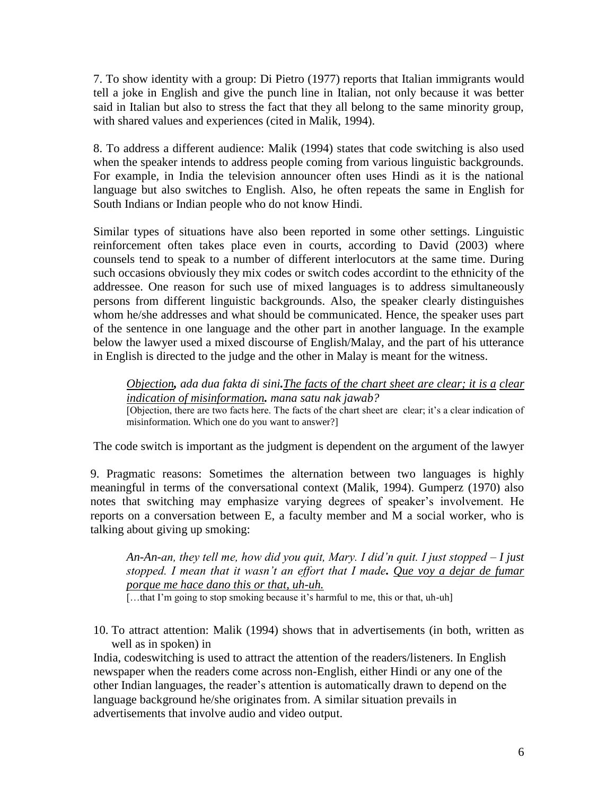7. To show identity with a group: Di Pietro (1977) reports that Italian immigrants would tell a joke in English and give the punch line in Italian, not only because it was better said in Italian but also to stress the fact that they all belong to the same minority group, with shared values and experiences (cited in Malik, 1994).

8. To address a different audience: Malik (1994) states that code switching is also used when the speaker intends to address people coming from various linguistic backgrounds. For example, in India the television announcer often uses Hindi as it is the national language but also switches to English. Also, he often repeats the same in English for South Indians or Indian people who do not know Hindi.

Similar types of situations have also been reported in some other settings. Linguistic reinforcement often takes place even in courts, according to David (2003) where counsels tend to speak to a number of different interlocutors at the same time. During such occasions obviously they mix codes or switch codes accordint to the ethnicity of the addressee. One reason for such use of mixed languages is to address simultaneously persons from different linguistic backgrounds. Also, the speaker clearly distinguishes whom he/she addresses and what should be communicated. Hence, the speaker uses part of the sentence in one language and the other part in another language. In the example below the lawyer used a mixed discourse of English/Malay, and the part of his utterance in English is directed to the judge and the other in Malay is meant for the witness.

*Objection, ada dua fakta di sini.The facts of the chart sheet are clear; it is a clear indication of misinformation. mana satu nak jawab?* 

[Objection, there are two facts here. The facts of the chart sheet are clear; it's a clear indication of misinformation. Which one do you want to answer?]

The code switch is important as the judgment is dependent on the argument of the lawyer

9. Pragmatic reasons: Sometimes the alternation between two languages is highly meaningful in terms of the conversational context (Malik, 1994). Gumperz (1970) also notes that switching may emphasize varying degrees of speaker's involvement. He reports on a conversation between E, a faculty member and M a social worker, who is talking about giving up smoking:

*An-An-an, they tell me, how did you quit, Mary. I did'n quit. I just stopped – I just stopped. I mean that it wasn't an effort that I made. Que voy a dejar de fumar porque me hace dano this or that, uh-uh.* 

[...that I'm going to stop smoking because it's harmful to me, this or that, uh-uh]

10. To attract attention: Malik (1994) shows that in advertisements (in both, written as well as in spoken) in

India, codeswitching is used to attract the attention of the readers/listeners. In English newspaper when the readers come across non-English, either Hindi or any one of the other Indian languages, the reader's attention is automatically drawn to depend on the language background he/she originates from. A similar situation prevails in advertisements that involve audio and video output.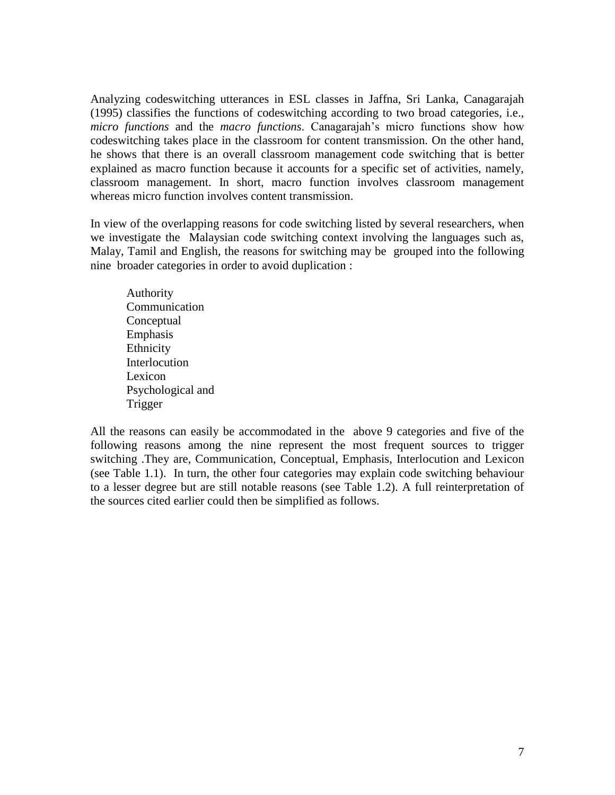Analyzing codeswitching utterances in ESL classes in Jaffna, Sri Lanka, Canagarajah (1995) classifies the functions of codeswitching according to two broad categories, i.e., *micro functions* and the *macro functions*. Canagarajah's micro functions show how codeswitching takes place in the classroom for content transmission. On the other hand, he shows that there is an overall classroom management code switching that is better explained as macro function because it accounts for a specific set of activities, namely, classroom management. In short, macro function involves classroom management whereas micro function involves content transmission.

In view of the overlapping reasons for code switching listed by several researchers, when we investigate the Malaysian code switching context involving the languages such as, Malay, Tamil and English, the reasons for switching may be grouped into the following nine broader categories in order to avoid duplication :

Authority Communication Conceptual Emphasis Ethnicity **Interlocution** Lexicon Psychological and Trigger

All the reasons can easily be accommodated in the above 9 categories and five of the following reasons among the nine represent the most frequent sources to trigger switching .They are, Communication, Conceptual, Emphasis, Interlocution and Lexicon (see Table 1.1). In turn, the other four categories may explain code switching behaviour to a lesser degree but are still notable reasons (see Table 1.2). A full reinterpretation of the sources cited earlier could then be simplified as follows.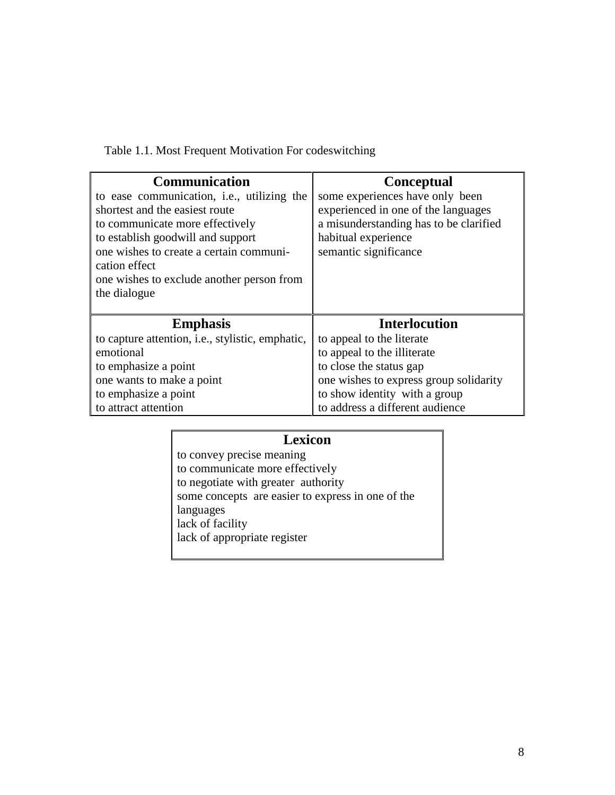Table 1.1. Most Frequent Motivation For codeswitching

| <b>Communication</b>                                                     | <b>Conceptual</b>                      |  |  |  |  |  |  |
|--------------------------------------------------------------------------|----------------------------------------|--|--|--|--|--|--|
| to ease communication, <i>i.e.</i> , utilizing the                       | some experiences have only been        |  |  |  |  |  |  |
| shortest and the easiest route                                           | experienced in one of the languages    |  |  |  |  |  |  |
| to communicate more effectively                                          | a misunderstanding has to be clarified |  |  |  |  |  |  |
| to establish goodwill and support                                        | habitual experience                    |  |  |  |  |  |  |
| one wishes to create a certain communi-                                  | semantic significance                  |  |  |  |  |  |  |
| cation effect                                                            |                                        |  |  |  |  |  |  |
| one wishes to exclude another person from                                |                                        |  |  |  |  |  |  |
| the dialogue                                                             |                                        |  |  |  |  |  |  |
|                                                                          |                                        |  |  |  |  |  |  |
| <b>Emphasis</b>                                                          | <b>Interlocution</b>                   |  |  |  |  |  |  |
| to capture attention, <i>i.e.</i> , <i>stylistic</i> , <i>emphatic</i> , | to appeal to the literate              |  |  |  |  |  |  |
| emotional                                                                | to appeal to the illiterate            |  |  |  |  |  |  |
| to emphasize a point                                                     | to close the status gap                |  |  |  |  |  |  |
| one wants to make a point                                                | one wishes to express group solidarity |  |  |  |  |  |  |
| to emphasize a point                                                     | to show identity with a group          |  |  |  |  |  |  |
| to attract attention                                                     | to address a different audience        |  |  |  |  |  |  |

# **Lexicon**

to convey precise meaning to communicate more effectively to negotiate with greater authority some concepts are easier to express in one of the languages lack of facility lack of appropriate register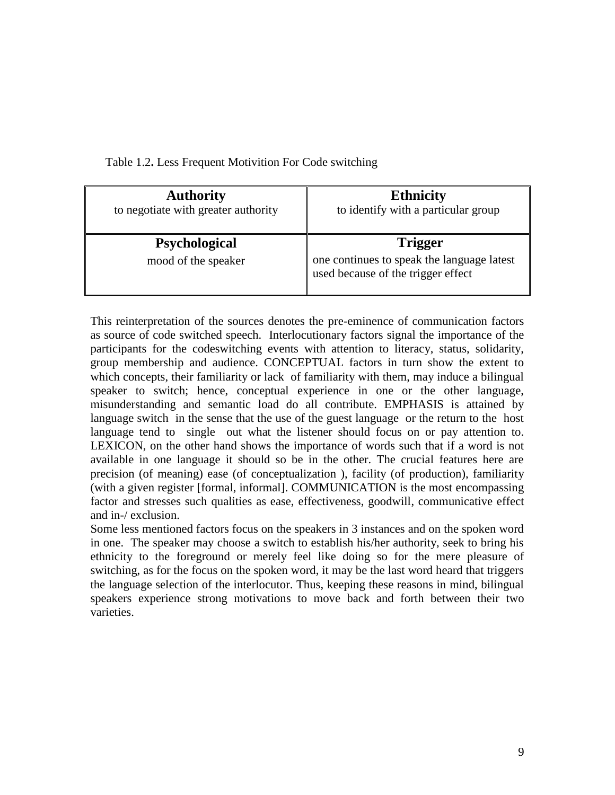| <b>Authority</b>                            | <b>Ethnicity</b>                                                                                   |  |  |  |  |  |  |
|---------------------------------------------|----------------------------------------------------------------------------------------------------|--|--|--|--|--|--|
| to negotiate with greater authority         | to identify with a particular group                                                                |  |  |  |  |  |  |
| <b>Psychological</b><br>mood of the speaker | <b>Trigger</b><br>one continues to speak the language latest<br>used because of the trigger effect |  |  |  |  |  |  |

Table 1.2**.** Less Frequent Motivition For Code switching

This reinterpretation of the sources denotes the pre-eminence of communication factors as source of code switched speech. Interlocutionary factors signal the importance of the participants for the codeswitching events with attention to literacy, status, solidarity, group membership and audience. CONCEPTUAL factors in turn show the extent to which concepts, their familiarity or lack of familiarity with them, may induce a bilingual speaker to switch; hence, conceptual experience in one or the other language, misunderstanding and semantic load do all contribute. EMPHASIS is attained by language switch in the sense that the use of the guest language or the return to the host language tend to single out what the listener should focus on or pay attention to. LEXICON, on the other hand shows the importance of words such that if a word is not available in one language it should so be in the other. The crucial features here are precision (of meaning) ease (of conceptualization ), facility (of production), familiarity (with a given register [formal, informal]. COMMUNICATION is the most encompassing factor and stresses such qualities as ease, effectiveness, goodwill, communicative effect and in-/ exclusion.

Some less mentioned factors focus on the speakers in 3 instances and on the spoken word in one. The speaker may choose a switch to establish his/her authority, seek to bring his ethnicity to the foreground or merely feel like doing so for the mere pleasure of switching, as for the focus on the spoken word, it may be the last word heard that triggers the language selection of the interlocutor. Thus, keeping these reasons in mind, bilingual speakers experience strong motivations to move back and forth between their two varieties.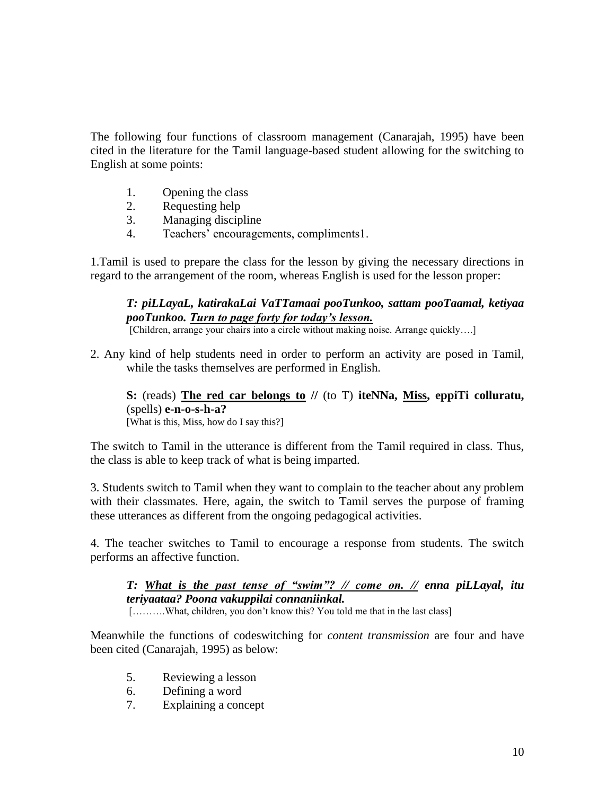The following four functions of classroom management (Canarajah, 1995) have been cited in the literature for the Tamil language-based student allowing for the switching to English at some points:

- 1. Opening the class
- 2. Requesting help
- 3. Managing discipline
- 4. Teachers' encouragements, compliments1.

1.Tamil is used to prepare the class for the lesson by giving the necessary directions in regard to the arrangement of the room, whereas English is used for the lesson proper:

## *T: piLLayaL, katirakaLai VaTTamaai pooTunkoo, sattam pooTaamal, ketiyaa pooTunkoo. Turn to page forty for today's lesson.*

[Children, arrange your chairs into a circle without making noise. Arrange quickly....]

2. Any kind of help students need in order to perform an activity are posed in Tamil, while the tasks themselves are performed in English.

**S:** (reads) **The red car belongs to //** (to T) **iteNNa, Miss, eppiTi colluratu,**  (spells) **e-n-o-s-h-a?**  [What is this, Miss, how do I say this?]

The switch to Tamil in the utterance is different from the Tamil required in class. Thus, the class is able to keep track of what is being imparted.

3. Students switch to Tamil when they want to complain to the teacher about any problem with their classmates. Here, again, the switch to Tamil serves the purpose of framing these utterances as different from the ongoing pedagogical activities.

4. The teacher switches to Tamil to encourage a response from students. The switch performs an affective function.

*T: What is the past tense of "swim"? // come on. // enna piLLayal, itu teriyaataa? Poona vakuppilai connaniinkal.*

[……….What, children, you don't know this? You told me that in the last class]

Meanwhile the functions of codeswitching for *content transmission* are four and have been cited (Canarajah, 1995) as below:

- 5. Reviewing a lesson
- 6. Defining a word
- 7. Explaining a concept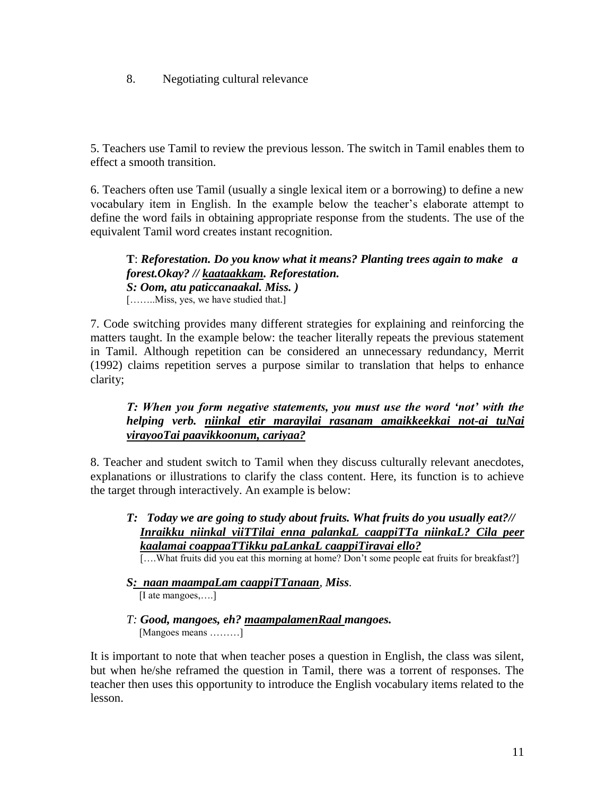8. Negotiating cultural relevance

5. Teachers use Tamil to review the previous lesson. The switch in Tamil enables them to effect a smooth transition.

6. Teachers often use Tamil (usually a single lexical item or a borrowing) to define a new vocabulary item in English. In the example below the teacher's elaborate attempt to define the word fails in obtaining appropriate response from the students. The use of the equivalent Tamil word creates instant recognition.

**T**: *Reforestation. Do you know what it means? Planting trees again to make a forest.Okay? // kaataakkam. Reforestation. S: Oom, atu paticcanaakal. Miss. )* [........Miss, yes, we have studied that.]

7. Code switching provides many different strategies for explaining and reinforcing the matters taught. In the example below: the teacher literally repeats the previous statement in Tamil. Although repetition can be considered an unnecessary redundancy, Merrit (1992) claims repetition serves a purpose similar to translation that helps to enhance clarity;

## *T: When you form negative statements, you must use the word 'not' with the helping verb. niinkal etir marayilai rasanam amaikkeekkai not-ai tuNai virayooTai paavikkoonum, cariyaa?*

8. Teacher and student switch to Tamil when they discuss culturally relevant anecdotes, explanations or illustrations to clarify the class content. Here, its function is to achieve the target through interactively. An example is below:

*T: Today we are going to study about fruits. What fruits do you usually eat?// Inraikku niinkal viiTTilai enna palankaL caappiTTa niinkaL? Cila peer kaalamai coappaaTTikku paLankaL caappiTiravai ello?* 

[....What fruits did you eat this morning at home? Don't some people eat fruits for breakfast?]

- *S: naan maampaLam caappiTTanaan, Miss.* [I ate mangoes,....]
- *T: Good, mangoes, eh? maampalamenRaal mangoes.* [Mangoes means ………]

It is important to note that when teacher poses a question in English, the class was silent, but when he/she reframed the question in Tamil, there was a torrent of responses. The teacher then uses this opportunity to introduce the English vocabulary items related to the lesson.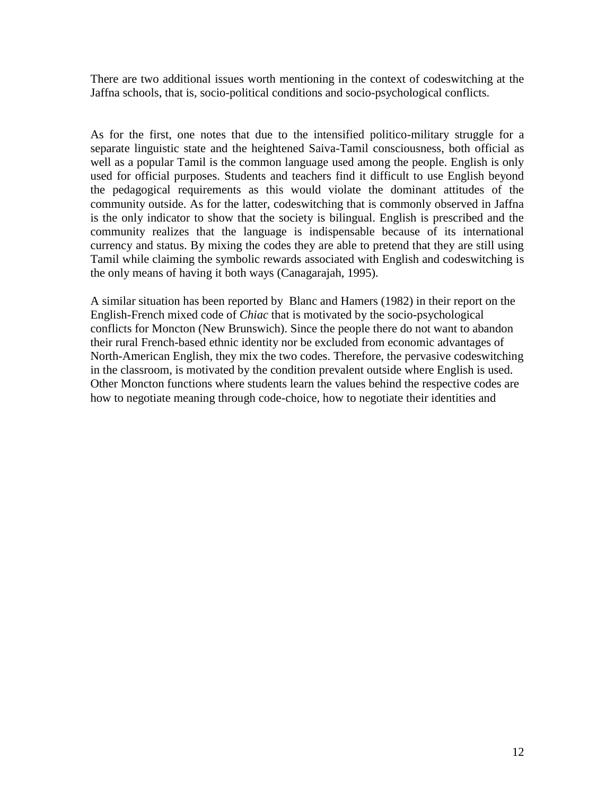There are two additional issues worth mentioning in the context of codeswitching at the Jaffna schools, that is, socio-political conditions and socio-psychological conflicts.

As for the first, one notes that due to the intensified politico-military struggle for a separate linguistic state and the heightened Saiva-Tamil consciousness, both official as well as a popular Tamil is the common language used among the people. English is only used for official purposes. Students and teachers find it difficult to use English beyond the pedagogical requirements as this would violate the dominant attitudes of the community outside. As for the latter, codeswitching that is commonly observed in Jaffna is the only indicator to show that the society is bilingual. English is prescribed and the community realizes that the language is indispensable because of its international currency and status. By mixing the codes they are able to pretend that they are still using Tamil while claiming the symbolic rewards associated with English and codeswitching is the only means of having it both ways (Canagarajah, 1995).

A similar situation has been reported by Blanc and Hamers (1982) in their report on the English-French mixed code of *Chiac* that is motivated by the socio-psychological conflicts for Moncton (New Brunswich). Since the people there do not want to abandon their rural French-based ethnic identity nor be excluded from economic advantages of North-American English, they mix the two codes. Therefore, the pervasive codeswitching in the classroom, is motivated by the condition prevalent outside where English is used. Other Moncton functions where students learn the values behind the respective codes are how to negotiate meaning through code-choice, how to negotiate their identities and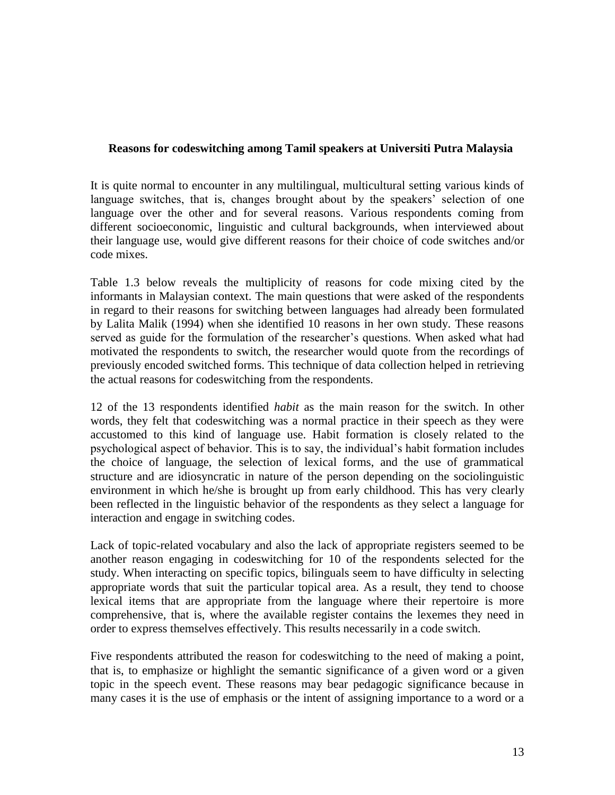### **Reasons for codeswitching among Tamil speakers at Universiti Putra Malaysia**

It is quite normal to encounter in any multilingual, multicultural setting various kinds of language switches, that is, changes brought about by the speakers' selection of one language over the other and for several reasons. Various respondents coming from different socioeconomic, linguistic and cultural backgrounds, when interviewed about their language use, would give different reasons for their choice of code switches and/or code mixes.

Table 1.3 below reveals the multiplicity of reasons for code mixing cited by the informants in Malaysian context. The main questions that were asked of the respondents in regard to their reasons for switching between languages had already been formulated by Lalita Malik (1994) when she identified 10 reasons in her own study. These reasons served as guide for the formulation of the researcher's questions. When asked what had motivated the respondents to switch, the researcher would quote from the recordings of previously encoded switched forms. This technique of data collection helped in retrieving the actual reasons for codeswitching from the respondents.

12 of the 13 respondents identified *habit* as the main reason for the switch. In other words, they felt that codeswitching was a normal practice in their speech as they were accustomed to this kind of language use. Habit formation is closely related to the psychological aspect of behavior. This is to say, the individual's habit formation includes the choice of language, the selection of lexical forms, and the use of grammatical structure and are idiosyncratic in nature of the person depending on the sociolinguistic environment in which he/she is brought up from early childhood. This has very clearly been reflected in the linguistic behavior of the respondents as they select a language for interaction and engage in switching codes.

Lack of topic-related vocabulary and also the lack of appropriate registers seemed to be another reason engaging in codeswitching for 10 of the respondents selected for the study. When interacting on specific topics, bilinguals seem to have difficulty in selecting appropriate words that suit the particular topical area. As a result, they tend to choose lexical items that are appropriate from the language where their repertoire is more comprehensive, that is, where the available register contains the lexemes they need in order to express themselves effectively. This results necessarily in a code switch.

Five respondents attributed the reason for codeswitching to the need of making a point, that is, to emphasize or highlight the semantic significance of a given word or a given topic in the speech event. These reasons may bear pedagogic significance because in many cases it is the use of emphasis or the intent of assigning importance to a word or a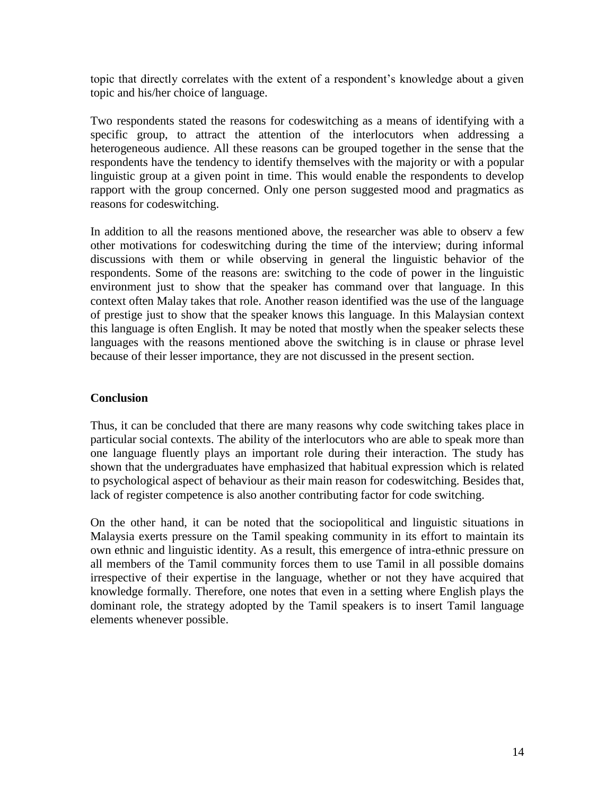topic that directly correlates with the extent of a respondent's knowledge about a given topic and his/her choice of language.

Two respondents stated the reasons for codeswitching as a means of identifying with a specific group, to attract the attention of the interlocutors when addressing a heterogeneous audience. All these reasons can be grouped together in the sense that the respondents have the tendency to identify themselves with the majority or with a popular linguistic group at a given point in time. This would enable the respondents to develop rapport with the group concerned. Only one person suggested mood and pragmatics as reasons for codeswitching.

In addition to all the reasons mentioned above, the researcher was able to observ a few other motivations for codeswitching during the time of the interview; during informal discussions with them or while observing in general the linguistic behavior of the respondents. Some of the reasons are: switching to the code of power in the linguistic environment just to show that the speaker has command over that language. In this context often Malay takes that role. Another reason identified was the use of the language of prestige just to show that the speaker knows this language. In this Malaysian context this language is often English. It may be noted that mostly when the speaker selects these languages with the reasons mentioned above the switching is in clause or phrase level because of their lesser importance, they are not discussed in the present section.

## **Conclusion**

Thus, it can be concluded that there are many reasons why code switching takes place in particular social contexts. The ability of the interlocutors who are able to speak more than one language fluently plays an important role during their interaction. The study has shown that the undergraduates have emphasized that habitual expression which is related to psychological aspect of behaviour as their main reason for codeswitching. Besides that, lack of register competence is also another contributing factor for code switching.

On the other hand, it can be noted that the sociopolitical and linguistic situations in Malaysia exerts pressure on the Tamil speaking community in its effort to maintain its own ethnic and linguistic identity. As a result, this emergence of intra-ethnic pressure on all members of the Tamil community forces them to use Tamil in all possible domains irrespective of their expertise in the language, whether or not they have acquired that knowledge formally. Therefore, one notes that even in a setting where English plays the dominant role, the strategy adopted by the Tamil speakers is to insert Tamil language elements whenever possible.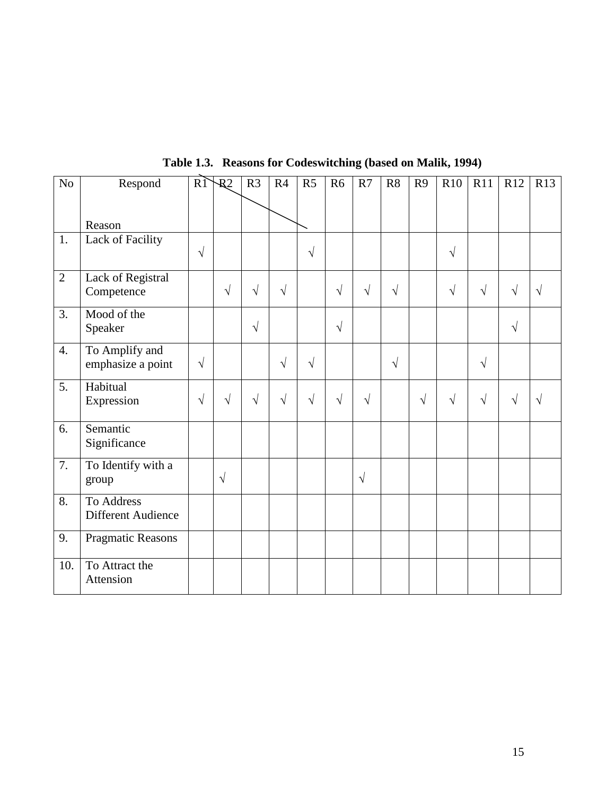| No             | Respond            | R <sub>1</sub> | $\overline{R}2$ | R <sub>3</sub> | R4         | R <sub>5</sub> | R <sub>6</sub> | R7         | R8         | R <sub>9</sub> | R10        | R11        | R12        | R13        |
|----------------|--------------------|----------------|-----------------|----------------|------------|----------------|----------------|------------|------------|----------------|------------|------------|------------|------------|
|                |                    |                |                 |                |            |                |                |            |            |                |            |            |            |            |
|                | Reason             |                |                 |                |            |                |                |            |            |                |            |            |            |            |
| 1.             | Lack of Facility   |                |                 |                |            |                |                |            |            |                |            |            |            |            |
|                |                    | $\sqrt{ }$     |                 |                |            | $\sqrt{ }$     |                |            |            |                | $\sqrt{ }$ |            |            |            |
| $\overline{2}$ | Lack of Registral  |                |                 |                |            |                |                |            |            |                |            |            |            |            |
|                | Competence         |                | $\sqrt{ }$      | $\sqrt{}$      | $\sqrt{ }$ |                | $\sqrt{}$      | $\sqrt{ }$ | $\sqrt{2}$ |                | $\sqrt{ }$ | $\sqrt{ }$ | $\sqrt{ }$ | $\sqrt{ }$ |
| 3.             | Mood of the        |                |                 |                |            |                |                |            |            |                |            |            |            |            |
|                | Speaker            |                |                 | $\sqrt{}$      |            |                | $\sqrt{}$      |            |            |                |            |            | $\sqrt{2}$ |            |
| 4.             | To Amplify and     |                |                 |                |            |                |                |            |            |                |            |            |            |            |
|                | emphasize a point  | $\sqrt{ }$     |                 |                | $\sqrt{ }$ | $\sqrt{ }$     |                |            | $\sqrt{}$  |                |            | $\sqrt{}$  |            |            |
| 5.             | Habitual           |                |                 |                |            |                |                |            |            |                |            |            |            |            |
|                | Expression         | $\sqrt{ }$     | $\sqrt{ }$      | $\sqrt{ }$     | $\sqrt{ }$ | $\sqrt{ }$     | $\sqrt{ }$     | $\sqrt{ }$ |            | $\sqrt{ }$     | $\sqrt{ }$ | $\sqrt{ }$ | $\sqrt{ }$ | $\sqrt{ }$ |
| 6.             | Semantic           |                |                 |                |            |                |                |            |            |                |            |            |            |            |
|                | Significance       |                |                 |                |            |                |                |            |            |                |            |            |            |            |
| 7.             | To Identify with a |                |                 |                |            |                |                |            |            |                |            |            |            |            |
|                | group              |                | $\sqrt{ }$      |                |            |                |                | $\sqrt{ }$ |            |                |            |            |            |            |
| 8.             | To Address         |                |                 |                |            |                |                |            |            |                |            |            |            |            |
|                | Different Audience |                |                 |                |            |                |                |            |            |                |            |            |            |            |
| 9.             | Pragmatic Reasons  |                |                 |                |            |                |                |            |            |                |            |            |            |            |
|                |                    |                |                 |                |            |                |                |            |            |                |            |            |            |            |
| 10.            | To Attract the     |                |                 |                |            |                |                |            |            |                |            |            |            |            |
|                | Attension          |                |                 |                |            |                |                |            |            |                |            |            |            |            |

**Table 1.3. Reasons for Codeswitching (based on Malik, 1994)**